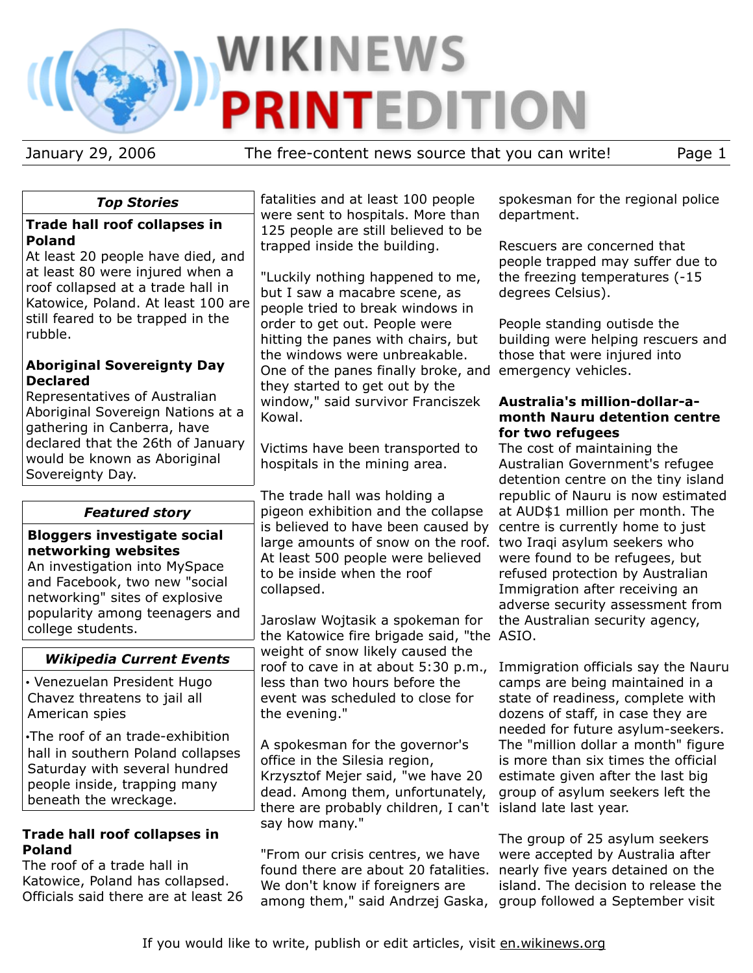# **WIKINEWS PRINTEDITION**

January 29, 2006 The free-content news source that you can write! Page 1

#### *Top Stories*

#### **Trade hall roof collapses in Poland**

At least 20 people have died, and at least 80 were injured when a roof collapsed at a trade hall in Katowice, Poland. At least 100 are still feared to be trapped in the rubble.

#### **Aboriginal Sovereignty Day Declared**

Representatives of Australian Aboriginal Sovereign Nations at a gathering in Canberra, have declared that the 26th of January would be known as Aboriginal Sovereignty Day.

### *Featured story*

#### **Bloggers investigate social networking websites**

An investigation into MySpace and Facebook, two new "social networking" sites of explosive popularity among teenagers and college students.

### *Wikipedia Current Events*

• Venezuelan President Hugo Chavez threatens to jail all American spies

•The roof of an trade-exhibition hall in southern Poland collapses Saturday with several hundred people inside, trapping many beneath the wreckage.

#### **Trade hall roof collapses in Poland**

The roof of a trade hall in Katowice, Poland has collapsed. Officials said there are at least 26 fatalities and at least 100 people were sent to hospitals. More than 125 people are still believed to be trapped inside the building.

"Luckily nothing happened to me, but I saw a macabre scene, as people tried to break windows in order to get out. People were hitting the panes with chairs, but the windows were unbreakable. One of the panes finally broke, and emergency vehicles. they started to get out by the window," said survivor Franciszek Kowal.

Victims have been transported to hospitals in the mining area.

The trade hall was holding a pigeon exhibition and the collapse is believed to have been caused by large amounts of snow on the roof. two Iraqi asylum seekers who At least 500 people were believed to be inside when the roof collapsed.

Jaroslaw Wojtasik a spokeman for the Katowice fire brigade said, "the ASIO. weight of snow likely caused the roof to cave in at about 5:30 p.m., less than two hours before the event was scheduled to close for the evening."

A spokesman for the governor's office in the Silesia region, Krzysztof Mejer said, "we have 20 dead. Among them, unfortunately, there are probably children, I can't island late last year. say how many."

"From our crisis centres, we have found there are about 20 fatalities. We don't know if foreigners are among them," said Andrzej Gaska, group followed a September visit

spokesman for the regional police department.

Rescuers are concerned that people trapped may suffer due to the freezing temperatures (-15 degrees Celsius).

People standing outisde the building were helping rescuers and those that were injured into

#### **Australia's million-dollar-amonth Nauru detention centre for two refugees**

The cost of maintaining the Australian Government's refugee detention centre on the tiny island republic of Nauru is now estimated at AUD\$1 million per month. The centre is currently home to just were found to be refugees, but refused protection by Australian Immigration after receiving an adverse security assessment from the Australian security agency,

Immigration officials say the Nauru camps are being maintained in a state of readiness, complete with dozens of staff, in case they are needed for future asylum-seekers. The "million dollar a month" figure is more than six times the official estimate given after the last big group of asylum seekers left the

The group of 25 asylum seekers were accepted by Australia after nearly five years detained on the island. The decision to release the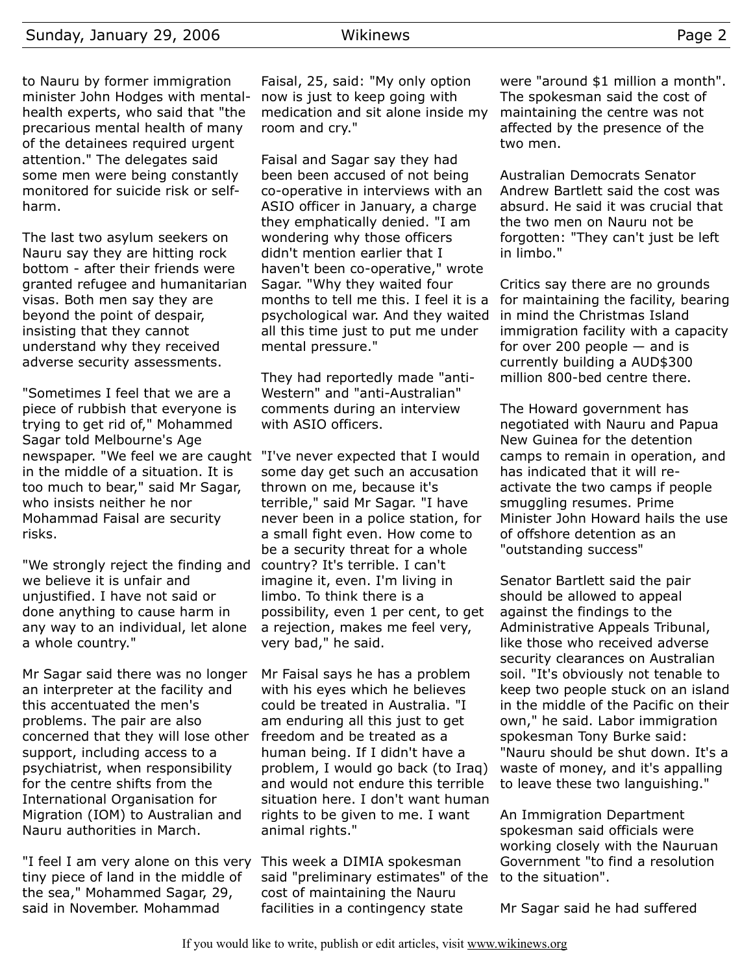to Nauru by former immigration minister John Hodges with mentalhealth experts, who said that "the precarious mental health of many of the detainees required urgent attention." The delegates said some men were being constantly monitored for suicide risk or selfharm.

The last two asylum seekers on Nauru say they are hitting rock bottom - after their friends were granted refugee and humanitarian visas. Both men say they are beyond the point of despair, insisting that they cannot understand why they received adverse security assessments.

"Sometimes I feel that we are a piece of rubbish that everyone is trying to get rid of," Mohammed Sagar told Melbourne's Age newspaper. "We feel we are caught "I've never expected that I would in the middle of a situation. It is too much to bear," said Mr Sagar, who insists neither he nor Mohammad Faisal are security risks.

"We strongly reject the finding and country? It's terrible. I can't we believe it is unfair and unjustified. I have not said or done anything to cause harm in any way to an individual, let alone a whole country."

Mr Sagar said there was no longer an interpreter at the facility and this accentuated the men's problems. The pair are also concerned that they will lose other support, including access to a psychiatrist, when responsibility for the centre shifts from the International Organisation for Migration (IOM) to Australian and Nauru authorities in March.

"I feel I am very alone on this very This week a DIMIA spokesman tiny piece of land in the middle of the sea," Mohammed Sagar, 29, said in November. Mohammad

Faisal, 25, said: "My only option now is just to keep going with medication and sit alone inside my room and cry."

Faisal and Sagar say they had been been accused of not being co-operative in interviews with an ASIO officer in January, a charge they emphatically denied. "I am wondering why those officers didn't mention earlier that I haven't been co-operative," wrote Sagar. "Why they waited four months to tell me this. I feel it is a psychological war. And they waited all this time just to put me under mental pressure."

They had reportedly made "anti-Western" and "anti-Australian" comments during an interview with ASIO officers.

some day get such an accusation thrown on me, because it's terrible," said Mr Sagar. "I have never been in a police station, for a small fight even. How come to be a security threat for a whole imagine it, even. I'm living in limbo. To think there is a possibility, even 1 per cent, to get a rejection, makes me feel very, very bad," he said.

Mr Faisal says he has a problem with his eyes which he believes could be treated in Australia. "I am enduring all this just to get freedom and be treated as a human being. If I didn't have a problem, I would go back (to Iraq) and would not endure this terrible situation here. I don't want human rights to be given to me. I want animal rights."

said "preliminary estimates" of the to the situation". cost of maintaining the Nauru facilities in a contingency state

were "around \$1 million a month". The spokesman said the cost of maintaining the centre was not affected by the presence of the two men.

Australian Democrats Senator Andrew Bartlett said the cost was absurd. He said it was crucial that the two men on Nauru not be forgotten: "They can't just be left in limbo."

Critics say there are no grounds for maintaining the facility, bearing in mind the Christmas Island immigration facility with a capacity for over 200 people  $-$  and is currently building a AUD\$300 million 800-bed centre there.

The Howard government has negotiated with Nauru and Papua New Guinea for the detention camps to remain in operation, and has indicated that it will reactivate the two camps if people smuggling resumes. Prime Minister John Howard hails the use of offshore detention as an "outstanding success"

Senator Bartlett said the pair should be allowed to appeal against the findings to the Administrative Appeals Tribunal, like those who received adverse security clearances on Australian soil. "It's obviously not tenable to keep two people stuck on an island in the middle of the Pacific on their own," he said. Labor immigration spokesman Tony Burke said: "Nauru should be shut down. It's a waste of money, and it's appalling to leave these two languishing."

An Immigration Department spokesman said officials were working closely with the Nauruan Government "to find a resolution

Mr Sagar said he had suffered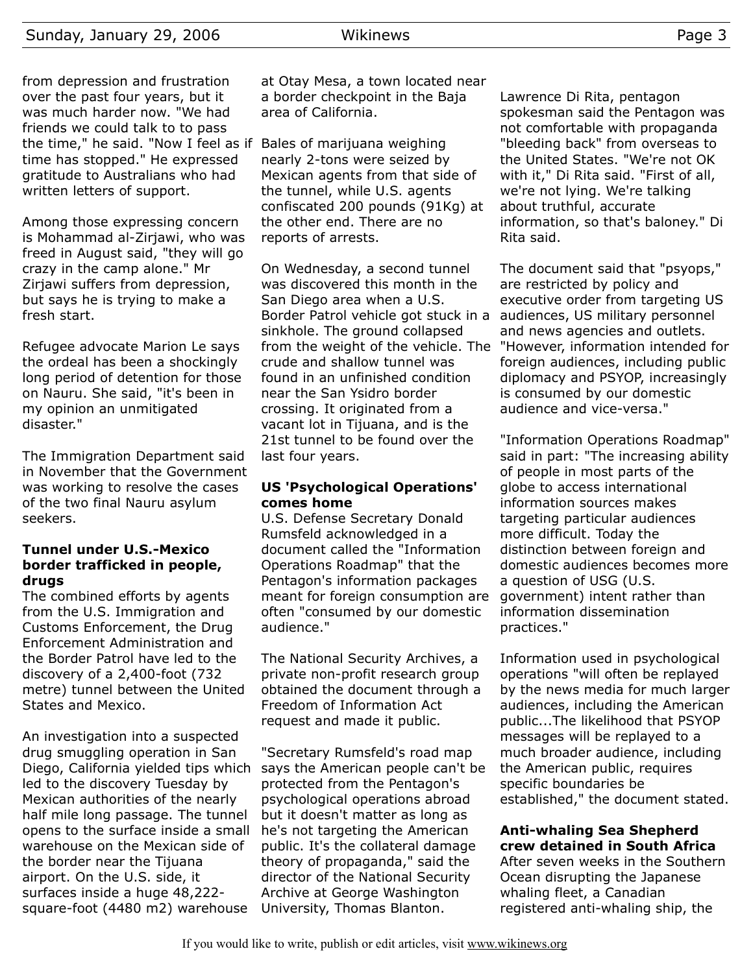from depression and frustration over the past four years, but it was much harder now. "We had friends we could talk to to pass the time," he said. "Now I feel as if Bales of marijuana weighing time has stopped." He expressed gratitude to Australians who had written letters of support.

Among those expressing concern is Mohammad al-Zirjawi, who was freed in August said, "they will go crazy in the camp alone." Mr Zirjawi suffers from depression, but says he is trying to make a fresh start.

Refugee advocate Marion Le says the ordeal has been a shockingly long period of detention for those on Nauru. She said, "it's been in my opinion an unmitigated disaster."

The Immigration Department said in November that the Government was working to resolve the cases of the two final Nauru asylum seekers.

#### **Tunnel under U.S.-Mexico border trafficked in people, drugs**

The combined efforts by agents from the U.S. Immigration and Customs Enforcement, the Drug Enforcement Administration and the Border Patrol have led to the discovery of a 2,400-foot (732 metre) tunnel between the United States and Mexico.

An investigation into a suspected drug smuggling operation in San Diego, California yielded tips which led to the discovery Tuesday by Mexican authorities of the nearly half mile long passage. The tunnel opens to the surface inside a small warehouse on the Mexican side of the border near the Tijuana airport. On the U.S. side, it surfaces inside a huge 48,222 square-foot (4480 m2) warehouse

at Otay Mesa, a town located near a border checkpoint in the Baja area of California.

nearly 2-tons were seized by Mexican agents from that side of the tunnel, while U.S. agents confiscated 200 pounds (91Kg) at the other end. There are no reports of arrests.

On Wednesday, a second tunnel was discovered this month in the San Diego area when a U.S. Border Patrol vehicle got stuck in a audiences, US military personnel sinkhole. The ground collapsed from the weight of the vehicle. The crude and shallow tunnel was found in an unfinished condition near the San Ysidro border crossing. It originated from a vacant lot in Tijuana, and is the 21st tunnel to be found over the last four years.

#### **US 'Psychological Operations' comes home**

U.S. Defense Secretary Donald Rumsfeld acknowledged in a document called the "Information Operations Roadmap" that the Pentagon's information packages meant for foreign consumption are often "consumed by our domestic audience."

The National Security Archives, a private non-profit research group obtained the document through a Freedom of Information Act request and made it public.

"Secretary Rumsfeld's road map says the American people can't be protected from the Pentagon's psychological operations abroad but it doesn't matter as long as he's not targeting the American public. It's the collateral damage theory of propaganda," said the director of the National Security Archive at George Washington University, Thomas Blanton.

Lawrence Di Rita, pentagon spokesman said the Pentagon was not comfortable with propaganda "bleeding back" from overseas to the United States. "We're not OK with it," Di Rita said. "First of all, we're not lying. We're talking about truthful, accurate information, so that's baloney." Di Rita said.

The document said that "psyops," are restricted by policy and executive order from targeting US and news agencies and outlets. "However, information intended for foreign audiences, including public diplomacy and PSYOP, increasingly is consumed by our domestic audience and vice-versa."

"Information Operations Roadmap" said in part: "The increasing ability of people in most parts of the globe to access international information sources makes targeting particular audiences more difficult. Today the distinction between foreign and domestic audiences becomes more a question of USG (U.S. government) intent rather than information dissemination practices."

Information used in psychological operations "will often be replayed by the news media for much larger audiences, including the American public...The likelihood that PSYOP messages will be replayed to a much broader audience, including the American public, requires specific boundaries be established," the document stated.

#### **Anti-whaling Sea Shepherd crew detained in South Africa**

After seven weeks in the Southern Ocean disrupting the Japanese whaling fleet, a Canadian registered anti-whaling ship, the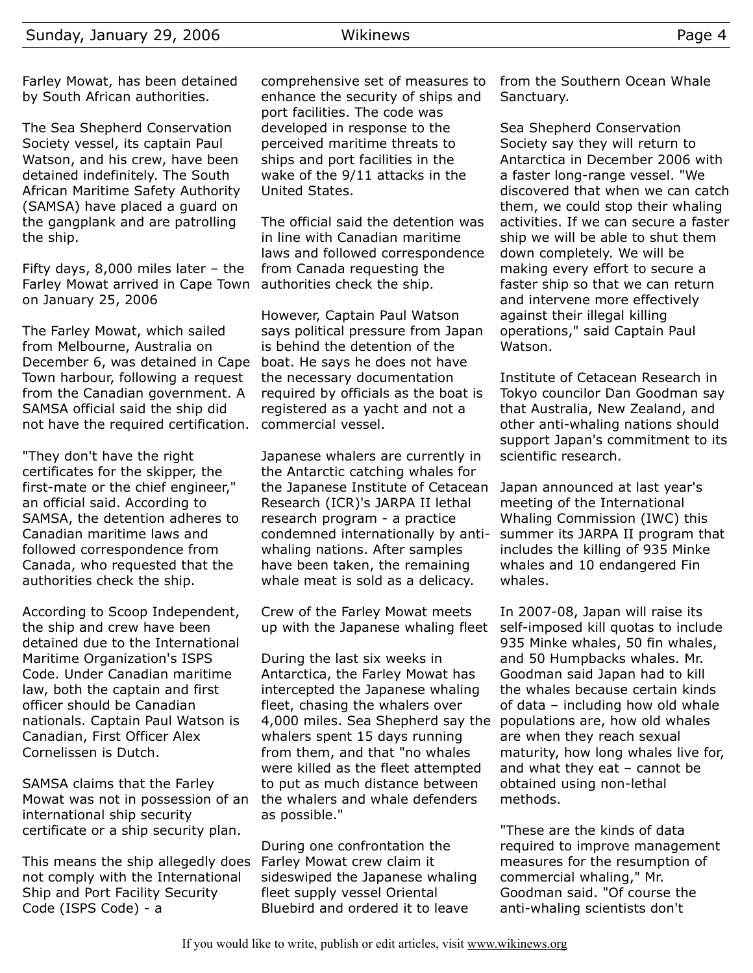Farley Mowat, has been detained by South African authorities.

The Sea Shepherd Conservation Society vessel, its captain Paul Watson, and his crew, have been detained indefinitely. The South African Maritime Safety Authority (SAMSA) have placed a guard on the gangplank and are patrolling the ship.

Fifty days, 8,000 miles later – the Farley Mowat arrived in Cape Town on January 25, 2006

The Farley Mowat, which sailed from Melbourne, Australia on December 6, was detained in Cape Town harbour, following a request from the Canadian government. A SAMSA official said the ship did not have the required certification.

"They don't have the right certificates for the skipper, the first-mate or the chief engineer," an official said. According to SAMSA, the detention adheres to Canadian maritime laws and followed correspondence from Canada, who requested that the authorities check the ship.

According to Scoop Independent, the ship and crew have been detained due to the International Maritime Organization's ISPS Code. Under Canadian maritime law, both the captain and first officer should be Canadian nationals. Captain Paul Watson is Canadian, First Officer Alex Cornelissen is Dutch.

SAMSA claims that the Farley Mowat was not in possession of an international ship security certificate or a ship security plan.

This means the ship allegedly does not comply with the International Ship and Port Facility Security Code (ISPS Code) - a

comprehensive set of measures to enhance the security of ships and port facilities. The code was developed in response to the perceived maritime threats to ships and port facilities in the wake of the 9/11 attacks in the United States.

The official said the detention was in line with Canadian maritime laws and followed correspondence from Canada requesting the authorities check the ship.

However, Captain Paul Watson says political pressure from Japan is behind the detention of the boat. He says he does not have the necessary documentation required by officials as the boat is registered as a yacht and not a commercial vessel.

Japanese whalers are currently in the Antarctic catching whales for the Japanese Institute of Cetacean Research (ICR)'s JARPA II lethal research program - a practice condemned internationally by antiwhaling nations. After samples have been taken, the remaining whale meat is sold as a delicacy.

Crew of the Farley Mowat meets up with the Japanese whaling fleet

During the last six weeks in Antarctica, the Farley Mowat has intercepted the Japanese whaling fleet, chasing the whalers over 4,000 miles. Sea Shepherd say the whalers spent 15 days running from them, and that "no whales were killed as the fleet attempted to put as much distance between the whalers and whale defenders as possible."

During one confrontation the Farley Mowat crew claim it sideswiped the Japanese whaling fleet supply vessel Oriental Bluebird and ordered it to leave

from the Southern Ocean Whale Sanctuary.

Sea Shepherd Conservation Society say they will return to Antarctica in December 2006 with a faster long-range vessel. "We discovered that when we can catch them, we could stop their whaling activities. If we can secure a faster ship we will be able to shut them down completely. We will be making every effort to secure a faster ship so that we can return and intervene more effectively against their illegal killing operations," said Captain Paul Watson.

Institute of Cetacean Research in Tokyo councilor Dan Goodman say that Australia, New Zealand, and other anti-whaling nations should support Japan's commitment to its scientific research.

Japan announced at last year's meeting of the International Whaling Commission (IWC) this summer its JARPA II program that includes the killing of 935 Minke whales and 10 endangered Fin whales.

In 2007-08, Japan will raise its self-imposed kill quotas to include 935 Minke whales, 50 fin whales, and 50 Humpbacks whales. Mr. Goodman said Japan had to kill the whales because certain kinds of data – including how old whale populations are, how old whales are when they reach sexual maturity, how long whales live for, and what they eat – cannot be obtained using non-lethal methods.

"These are the kinds of data required to improve management measures for the resumption of commercial whaling," Mr. Goodman said. "Of course the anti-whaling scientists don't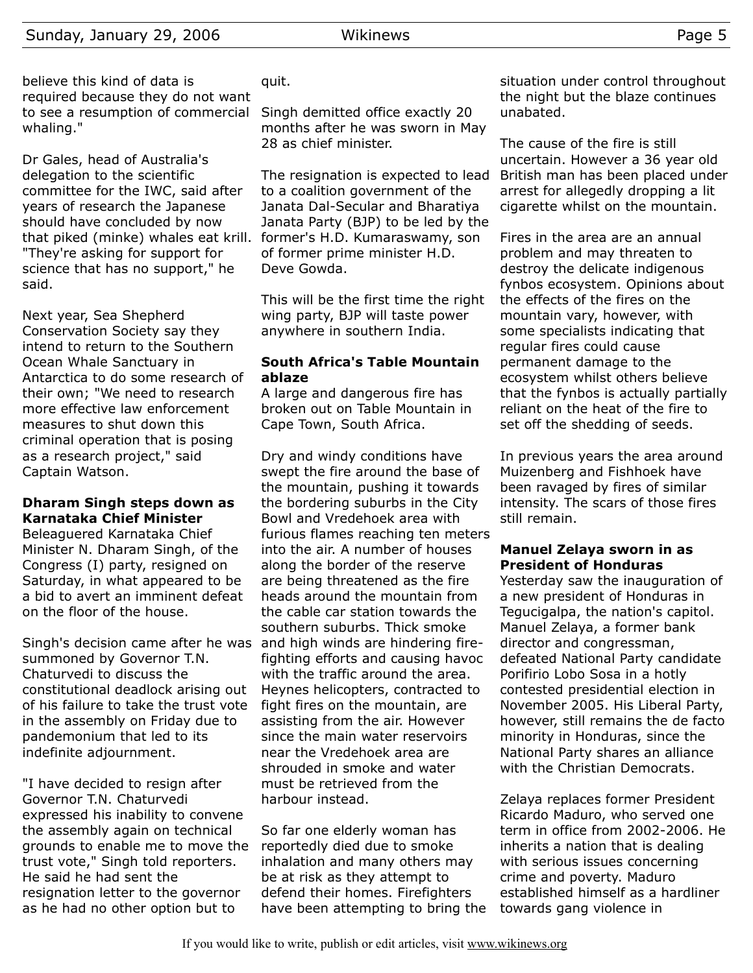believe this kind of data is required because they do not want to see a resumption of commercial whaling."

Dr Gales, head of Australia's delegation to the scientific committee for the IWC, said after years of research the Japanese should have concluded by now that piked (minke) whales eat krill. former's H.D. Kumaraswamy, son "They're asking for support for science that has no support," he said.

Next year, Sea Shepherd Conservation Society say they intend to return to the Southern Ocean Whale Sanctuary in Antarctica to do some research of their own; "We need to research more effective law enforcement measures to shut down this criminal operation that is posing as a research project," said Captain Watson.

#### **Dharam Singh steps down as Karnataka Chief Minister**

Beleaguered Karnataka Chief Minister N. Dharam Singh, of the Congress (I) party, resigned on Saturday, in what appeared to be a bid to avert an imminent defeat on the floor of the house.

Singh's decision came after he was and high winds are hindering firesummoned by Governor T.N. Chaturvedi to discuss the constitutional deadlock arising out of his failure to take the trust vote in the assembly on Friday due to pandemonium that led to its indefinite adjournment.

"I have decided to resign after Governor T.N. Chaturvedi expressed his inability to convene the assembly again on technical grounds to enable me to move the trust vote," Singh told reporters. He said he had sent the resignation letter to the governor as he had no other option but to

quit.

Singh demitted office exactly 20 months after he was sworn in May 28 as chief minister.

The resignation is expected to lead to a coalition government of the Janata Dal-Secular and Bharatiya Janata Party (BJP) to be led by the of former prime minister H.D. Deve Gowda.

This will be the first time the right wing party, BJP will taste power anywhere in southern India.

#### **South Africa's Table Mountain ablaze**

A large and dangerous fire has broken out on Table Mountain in Cape Town, South Africa.

Dry and windy conditions have swept the fire around the base of the mountain, pushing it towards the bordering suburbs in the City Bowl and Vredehoek area with furious flames reaching ten meters into the air. A number of houses along the border of the reserve are being threatened as the fire heads around the mountain from the cable car station towards the southern suburbs. Thick smoke fighting efforts and causing havoc with the traffic around the area. Heynes helicopters, contracted to fight fires on the mountain, are assisting from the air. However since the main water reservoirs near the Vredehoek area are shrouded in smoke and water must be retrieved from the harbour instead.

So far one elderly woman has reportedly died due to smoke inhalation and many others may be at risk as they attempt to defend their homes. Firefighters have been attempting to bring the situation under control throughout the night but the blaze continues unabated.

The cause of the fire is still uncertain. However a 36 year old British man has been placed under arrest for allegedly dropping a lit cigarette whilst on the mountain.

Fires in the area are an annual problem and may threaten to destroy the delicate indigenous fynbos ecosystem. Opinions about the effects of the fires on the mountain vary, however, with some specialists indicating that regular fires could cause permanent damage to the ecosystem whilst others believe that the fynbos is actually partially reliant on the heat of the fire to set off the shedding of seeds.

In previous years the area around Muizenberg and Fishhoek have been ravaged by fires of similar intensity. The scars of those fires still remain.

#### **Manuel Zelaya sworn in as President of Honduras**

Yesterday saw the inauguration of a new president of Honduras in Tegucigalpa, the nation's capitol. Manuel Zelaya, a former bank director and congressman, defeated National Party candidate Porifirio Lobo Sosa in a hotly contested presidential election in November 2005. His Liberal Party, however, still remains the de facto minority in Honduras, since the National Party shares an alliance with the Christian Democrats.

Zelaya replaces former President Ricardo Maduro, who served one term in office from 2002-2006. He inherits a nation that is dealing with serious issues concerning crime and poverty. Maduro established himself as a hardliner towards gang violence in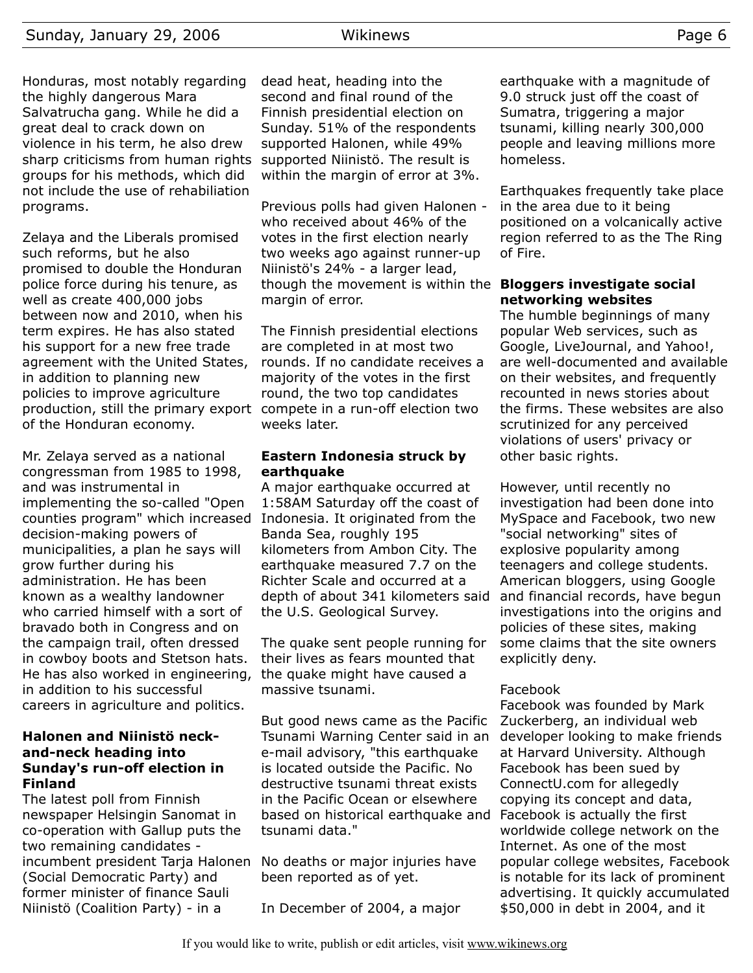Honduras, most notably regarding the highly dangerous Mara Salvatrucha gang. While he did a great deal to crack down on violence in his term, he also drew sharp criticisms from human rights groups for his methods, which did not include the use of rehabiliation programs.

Zelaya and the Liberals promised such reforms, but he also promised to double the Honduran police force during his tenure, as well as create 400,000 jobs between now and 2010, when his term expires. He has also stated his support for a new free trade agreement with the United States, in addition to planning new policies to improve agriculture production, still the primary export compete in a run-off election two of the Honduran economy.

Mr. Zelaya served as a national congressman from 1985 to 1998, and was instrumental in implementing the so-called "Open counties program" which increased decision-making powers of municipalities, a plan he says will grow further during his administration. He has been known as a wealthy landowner who carried himself with a sort of bravado both in Congress and on the campaign trail, often dressed in cowboy boots and Stetson hats. He has also worked in engineering, in addition to his successful careers in agriculture and politics.

#### **Halonen and Niinistö neckand-neck heading into Sunday's run-off election in Finland**

The latest poll from Finnish newspaper Helsingin Sanomat in co-operation with Gallup puts the two remaining candidates incumbent president Tarja Halonen No deaths or major injuries have (Social Democratic Party) and former minister of finance Sauli Niinistö (Coalition Party) - in a

dead heat, heading into the second and final round of the Finnish presidential election on Sunday. 51% of the respondents supported Halonen, while 49% supported Niinistö. The result is within the margin of error at 3%.

Previous polls had given Halonen who received about 46% of the votes in the first election nearly two weeks ago against runner-up Niinistö's 24% - a larger lead, though the movement is within the **Bloggers investigate social** margin of error.

The Finnish presidential elections are completed in at most two rounds. If no candidate receives a majority of the votes in the first round, the two top candidates weeks later.

#### **Eastern Indonesia struck by earthquake**

A major earthquake occurred at 1:58AM Saturday off the coast of Indonesia. It originated from the Banda Sea, roughly 195 kilometers from Ambon City. The earthquake measured 7.7 on the Richter Scale and occurred at a depth of about 341 kilometers said the U.S. Geological Survey.

The quake sent people running for their lives as fears mounted that the quake might have caused a massive tsunami.

But good news came as the Pacific Tsunami Warning Center said in an e-mail advisory, "this earthquake is located outside the Pacific. No destructive tsunami threat exists in the Pacific Ocean or elsewhere based on historical earthquake and tsunami data."

been reported as of yet.

In December of 2004, a major

earthquake with a magnitude of 9.0 struck just off the coast of Sumatra, triggering a major tsunami, killing nearly 300,000 people and leaving millions more homeless.

Earthquakes frequently take place in the area due to it being positioned on a volcanically active region referred to as the The Ring of Fire.

## **networking websites**

The humble beginnings of many popular Web services, such as Google, LiveJournal, and Yahoo!, are well-documented and available on their websites, and frequently recounted in news stories about the firms. These websites are also scrutinized for any perceived violations of users' privacy or other basic rights.

However, until recently no investigation had been done into MySpace and Facebook, two new "social networking" sites of explosive popularity among teenagers and college students. American bloggers, using Google and financial records, have begun investigations into the origins and policies of these sites, making some claims that the site owners explicitly deny.

#### Facebook

Facebook was founded by Mark Zuckerberg, an individual web developer looking to make friends at Harvard University. Although Facebook has been sued by ConnectU.com for allegedly copying its concept and data, Facebook is actually the first worldwide college network on the Internet. As one of the most popular college websites, Facebook is notable for its lack of prominent advertising. It quickly accumulated \$50,000 in debt in 2004, and it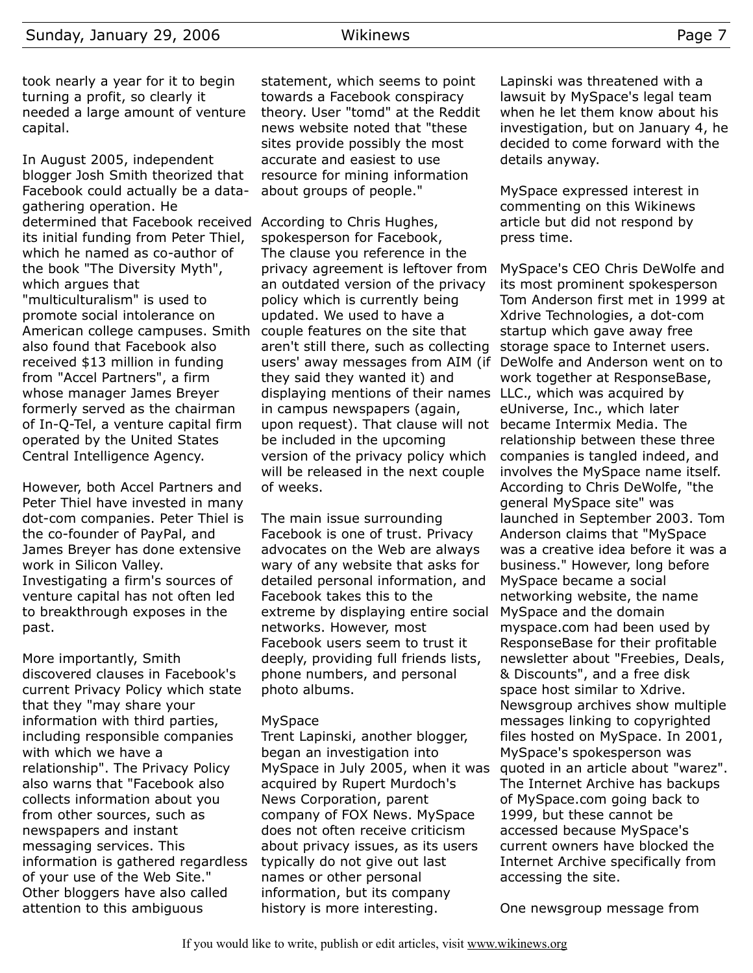took nearly a year for it to begin turning a profit, so clearly it needed a large amount of venture capital.

In August 2005, independent blogger Josh Smith theorized that Facebook could actually be a datagathering operation. He determined that Facebook received According to Chris Hughes, its initial funding from Peter Thiel, which he named as co-author of the book "The Diversity Myth", which argues that "multiculturalism" is used to promote social intolerance on American college campuses. Smith also found that Facebook also received \$13 million in funding from "Accel Partners", a firm whose manager James Breyer formerly served as the chairman of In-Q-Tel, a venture capital firm operated by the United States Central Intelligence Agency.

However, both Accel Partners and Peter Thiel have invested in many dot-com companies. Peter Thiel is the co-founder of PayPal, and James Breyer has done extensive work in Silicon Valley. Investigating a firm's sources of venture capital has not often led to breakthrough exposes in the past.

More importantly, Smith discovered clauses in Facebook's current Privacy Policy which state that they "may share your information with third parties, including responsible companies with which we have a relationship". The Privacy Policy also warns that "Facebook also collects information about you from other sources, such as newspapers and instant messaging services. This information is gathered regardless of your use of the Web Site." Other bloggers have also called attention to this ambiguous

statement, which seems to point towards a Facebook conspiracy theory. User "tomd" at the Reddit news website noted that "these sites provide possibly the most accurate and easiest to use resource for mining information about groups of people."

spokesperson for Facebook, The clause you reference in the privacy agreement is leftover from an outdated version of the privacy policy which is currently being updated. We used to have a couple features on the site that aren't still there, such as collecting users' away messages from AIM (if they said they wanted it) and displaying mentions of their names LLC., which was acquired by in campus newspapers (again, upon request). That clause will not be included in the upcoming version of the privacy policy which will be released in the next couple of weeks.

The main issue surrounding Facebook is one of trust. Privacy advocates on the Web are always wary of any website that asks for detailed personal information, and Facebook takes this to the extreme by displaying entire social networks. However, most Facebook users seem to trust it deeply, providing full friends lists, phone numbers, and personal photo albums.

#### MySpace

Trent Lapinski, another blogger, began an investigation into MySpace in July 2005, when it was acquired by Rupert Murdoch's News Corporation, parent company of FOX News. MySpace does not often receive criticism about privacy issues, as its users typically do not give out last names or other personal information, but its company history is more interesting.

Lapinski was threatened with a lawsuit by MySpace's legal team when he let them know about his investigation, but on January 4, he decided to come forward with the details anyway.

MySpace expressed interest in commenting on this Wikinews article but did not respond by press time.

MySpace's CEO Chris DeWolfe and its most prominent spokesperson Tom Anderson first met in 1999 at Xdrive Technologies, a dot-com startup which gave away free storage space to Internet users. DeWolfe and Anderson went on to work together at ResponseBase, eUniverse, Inc., which later became Intermix Media. The relationship between these three companies is tangled indeed, and involves the MySpace name itself. According to Chris DeWolfe, "the general MySpace site" was launched in September 2003. Tom Anderson claims that "MySpace was a creative idea before it was a business." However, long before MySpace became a social networking website, the name MySpace and the domain myspace.com had been used by ResponseBase for their profitable newsletter about "Freebies, Deals, & Discounts", and a free disk space host similar to Xdrive. Newsgroup archives show multiple messages linking to copyrighted files hosted on MySpace. In 2001, MySpace's spokesperson was quoted in an article about "warez". The Internet Archive has backups of MySpace.com going back to 1999, but these cannot be accessed because MySpace's current owners have blocked the Internet Archive specifically from accessing the site.

One newsgroup message from